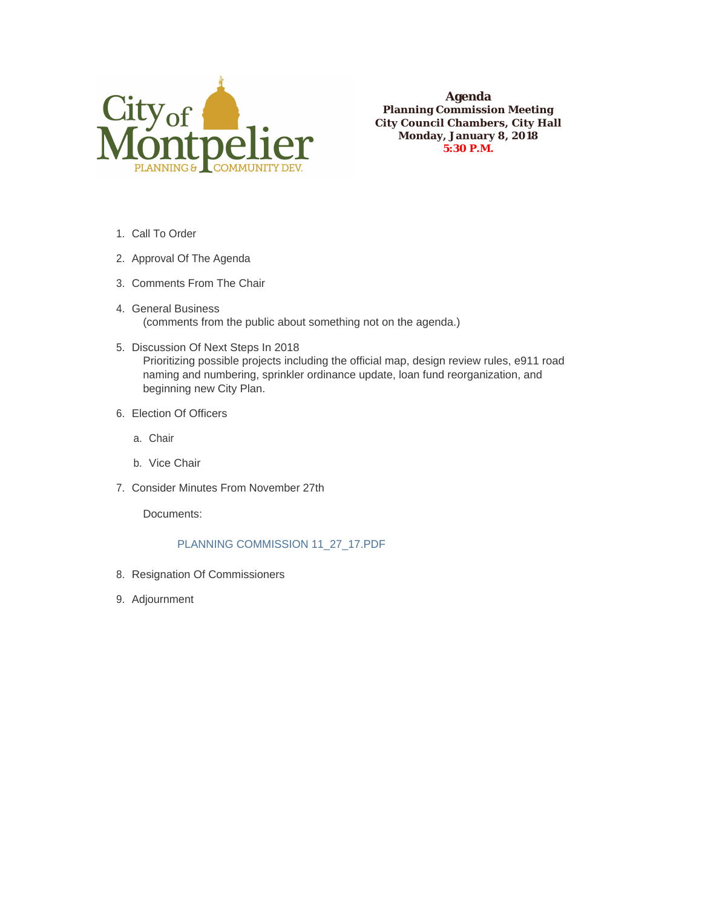

**Agenda Planning Commission Meeting City Council Chambers, City Hall Monday, January 8, 2018 5:30 P.M.**

- 1. Call To Order
- 2. Approval Of The Agenda
- 3. Comments From The Chair
- 4. General Business (comments from the public about something not on the agenda.)
- 5. Discussion Of Next Steps In 2018 Prioritizing possible projects including the official map, design review rules, e911 road naming and numbering, sprinkler ordinance update, loan fund reorganization, and beginning new City Plan.
- Election Of Officers 6.
	- Chair a.
	- b. Vice Chair
- 7. Consider Minutes From November 27th

Documents:

## PLANNING COMMISSION 11\_27\_17.PDF

- 8. Resignation Of Commissioners
- 9. Adjournment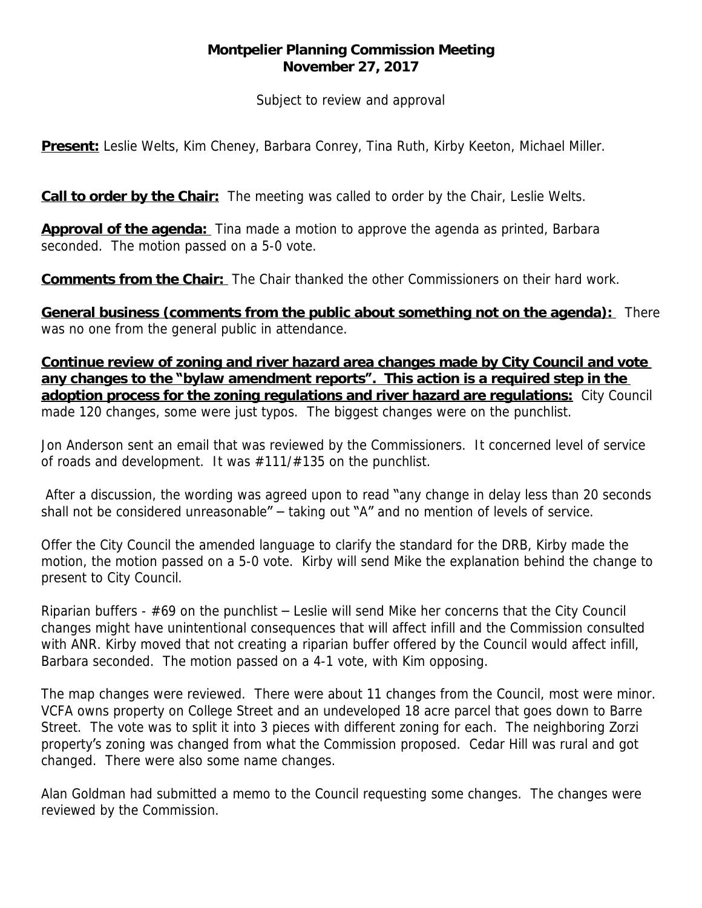## **Montpelier Planning Commission Meeting November 27, 2017**

*Subject to review and approval*

**Present:** Leslie Welts, Kim Cheney, Barbara Conrey, Tina Ruth, Kirby Keeton, Michael Miller.

**Call to order by the Chair:** The meeting was called to order by the Chair, Leslie Welts.

**Approval of the agenda:** Tina made a motion to approve the agenda as printed, Barbara seconded. The motion passed on a 5-0 vote.

**Comments from the Chair:** The Chair thanked the other Commissioners on their hard work.

**General business (comments from the public about something not on the agenda):** There was no one from the general public in attendance.

**Continue review of zoning and river hazard area changes made by City Council and vote any changes to the "bylaw amendment reports". This action is a required step in the adoption process for the zoning regulations and river hazard are regulations:** City Council made 120 changes, some were just typos. The biggest changes were on the punchlist.

Jon Anderson sent an email that was reviewed by the Commissioners. It concerned level of service of roads and development. It was #111/#135 on the punchlist.

After a discussion, the wording was agreed upon to read "any change in delay less than 20 seconds shall not be considered unreasonable" – taking out "A" and no mention of levels of service.

Offer the City Council the amended language to clarify the standard for the DRB, Kirby made the motion, the motion passed on a 5-0 vote. Kirby will send Mike the explanation behind the change to present to City Council.

Riparian buffers - #69 on the punchlist – Leslie will send Mike her concerns that the City Council changes might have unintentional consequences that will affect infill and the Commission consulted with ANR. Kirby moved that not creating a riparian buffer offered by the Council would affect infill, Barbara seconded. The motion passed on a 4-1 vote, with Kim opposing.

The map changes were reviewed. There were about 11 changes from the Council, most were minor. VCFA owns property on College Street and an undeveloped 18 acre parcel that goes down to Barre Street. The vote was to split it into 3 pieces with different zoning for each. The neighboring Zorzi property's zoning was changed from what the Commission proposed. Cedar Hill was rural and got changed. There were also some name changes.

Alan Goldman had submitted a memo to the Council requesting some changes. The changes were reviewed by the Commission.